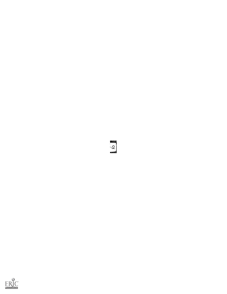

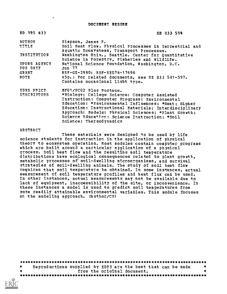DOCUMENT RESUME

| ED 195 433                      | SE 033 594                                                                                         |
|---------------------------------|----------------------------------------------------------------------------------------------------|
| <b>AUTHOR</b>                   | Simpson, James P.                                                                                  |
| TITLE                           | Soil Heat Flow. Physical Processes in Terrestrial and<br>Aquatic Ecosystems, Transport Processes.  |
| INSTITUTION                     | Washington Univ., Seattle. Center for Quantitative<br>Science in Forestry, Fisheries and Wildlife. |
| SPONS AGENCY<br><b>PUB DATE</b> | National Science Foundation, Washington, D.C.<br>Jun 77                                            |
| <b>GRANT</b>                    | NSF-GZ-2980: NSF-SED74-17696                                                                       |
| NOTE                            | 45p.: For related documents, see SE 033 581-597.<br>Contains occasional light type.                |
| <b>FDRS PRICE</b>               | MF01/PC02 Plus Postage.                                                                            |
| <b>DESCRIPTORS</b>              | *Biology: College Science: Computer Assisted                                                       |
|                                 | Instruction: Computer Programs: Environmental                                                      |
|                                 | Education: *Environmental Influences; *Heat; Higher                                                |
|                                 | Education: Instructional Materials; Interdisciplinary                                              |
|                                 | Approach: Models: Physical Sciences; *Plant Growth;                                                |
|                                 | Science Education: Science Instruction: *Soil                                                      |
|                                 | Science: Thermodynamics                                                                            |

#### ABSTRACT

 $\bar{\mathbf{v}}$ 

These materials were designed to be used by life science students for instruction in the application of physical theory to ecosystem operation. Most modules contain computer programs which are built around a particular application of a physical process. Soil heat flow and the resulting soil temperature distributions have ecological consequences related to plant growth, metabolic processes of soil-dwelling microorganisms, and survival strategies of soil-dwelling animals. The study of soil heat flow requires that soil temperature be obtained. In some instances, actual measurement of soil temperature profiles and heat flux can be used. In other instances, actual measurements may not be available due to lack of equipment, inaccessibility of the site, or inconvenience. In these instances a model is used to predict soil temperatures from more readily attainable environmental variables. This module focuses on the modeling approach. (Author/CS1

\*\*\*\*\*\*\*\*\*\*\*\*\*\*\*\*\*\*\*\*\*\*\*\*\*\*\*\*\*\*\*\*\*\*\*\*\*\*\*\*\*\*\*\*\*\*\*\*\*\*\*\*\*\*\*\*\*\*\*\*\*\*\*\*\*\*\*\*\*\*\*  $\ast$ Reproductions supplied by EDPS are the best that can be made  $*$ from the original document. \*\*\*\*\*\*\*\*\*\*\*\*\*\*\*\*\*\*\*\*\*\*\*\*\*\*\*\*\*\*\*\*\*\*\*\*\*\*\*\*\*\*\*\*\*\*\*\*\*\*\*\*\*\*\*\*\*\*\*\*\*\*\*\*\*\*\*\*\*\*\*

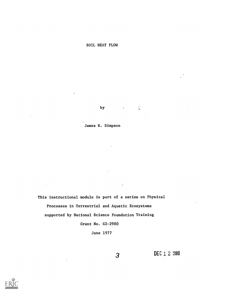by .

्



This instructional module is part of a series on Physical Processes in Terrestrial and Aquatic Ecosystems supported by National Science Foundation Training Grant No. GZ-2980

June 1977

3

DEC 1 2 1980



 $\sim$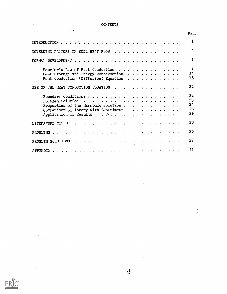#### CONTENTS  $\mathcal{A}^{\mathcal{A}}$  .

 $\omega$  .

|                                                                                                                           | Page                                    |
|---------------------------------------------------------------------------------------------------------------------------|-----------------------------------------|
|                                                                                                                           | 1                                       |
| GOVERNING FACTORS IN SOIL HEAT FLOW                                                                                       | 4                                       |
|                                                                                                                           | 7                                       |
| Fourier's Law of Heat Conduction<br>Heat Storage and Energy Conservation<br>Heat Conduction (Diffusion) Equation $\cdots$ | 7<br>14<br>18                           |
| USE OF THE HEAT CONDUCTION EQUATION                                                                                       | 22<br>$\cdot$                           |
| Problem Solution $\ldots \ldots \ldots \ldots \ldots \ldots \ldots$<br>Properties of the Harmonic Solution $\ldots$       | 22<br>23<br>24<br>26<br>29 <sub>1</sub> |
| LITERATURE CITED                                                                                                          | 33                                      |
|                                                                                                                           | 35                                      |
|                                                                                                                           | 37                                      |
|                                                                                                                           | 41                                      |



 $\frac{1}{\sqrt{2}}$ 

 $\sim 10$ 

 $\sim$ 

 $\ddot{\phantom{0}}$ 

 $\overline{\mathbf{4}}$ 

 $\sim$ 

 $\mathcal{A}^{\mathcal{A}}$ 

 $\bar{z}$ 

 $\hat{\mathcal{A}}$ 

 $\ddot{\phantom{a}}$ 

 $\sim 10^{-10}$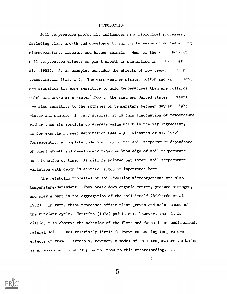#### INTRODUCTION

Soil temperature profoundly influences many biological processes, including plant growth and development, and the behavior of soil-dwelling microorganisms, insects, and higher animals. Much of the easily work on soil temperature effects on plant growth is summarized in Figure . et al. (1952). As an example, consider the effects of low tempe. He has an transpiration (Fig. 1.). The warm weather plants, cotton and was such lon, are significantly more sensitive to cold temperatures than are collards, which are grown as a winter crop in the southern United States. Miants are also sensitive to the extremes of temperature between day and wight, winter and summer. In many species, it is this fluctuation of temperature rather than its absolute or average value which is the key ingredient, as for example in seed germination (see e.g., Richards et al. 1952). Consequently, a complete understanding of the soil temperature dependence of plant growth and development requires knowledge of soil temperature as a function of time. As will be pointed out later, soil temperature variation with depth is another factor of importance here.

The metabolic processes of soil-dwelling microorganisms are also temperature-dependent. They break down organic matter, produce nitrogen, and play a part in the aggregation of the soil itself (Richards et al. 1952). In turn, these processes affect plant growth and maintenance of the nutrient cycle. Monteith (1973) points out, however, that it is difficult to observe the behavior of the flora and fauna in an undisturbed, natural soil. Thus relatively little is known concerning temperature effects on them. Certainly, however, a model of soil temperature variation is an essential first step on the road to this understanding.



5

 $\epsilon$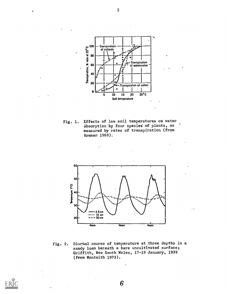

Fig. 1. Effects of low soil temperatures on water absorption by four species of plants, as measured by rates of transpiration (from Kramer 1969).



Fig. 2. Diurnal course of temperature at three depths in a sandy loam beneath a bare uncultivated surface; Griffith, New South Wales, 17-19 January, 1939 (from Monteith 1973).

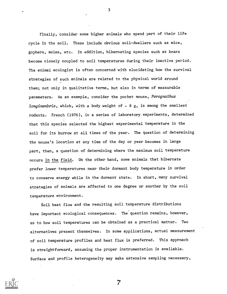Finally, consider some higher animals who spend part of their life cycle in the soil. These include obvious soil-dwellers such as mice, gophers, moles, etc. In addition, hibernating species such as bears become closely coupled to soil temperatures during their inactive period. The animal ecologist is often concerned with elucidating how the survival strategies of such animals are related to the physical world around them; not only in qualitative terms, but also in terms of measurable parameters. As an example, consider the pocket mouse, Perognathus longimembris, which, with a body weight of  $\sim$  8 g, is among the smallest rodents. French (1976), in a series of laboratory experiments, determined that this species selected the highest experimental temperature in the soil for its burrow at all times of the year.. The question of determining the mouse's location at any time of the day or year becomes in large part, then, a question of determining where the maximum soil temperature occurs in the field. On the other hand, some animals that hibernate prefer lower temperatures near their dormant body temperature in order to conserve energy while in the dormant state. In short, many survival strategies of animals are affected to one degree or another by the soil temperature environment.

Soil heat flow and the resulting soil temperature distributions have important ecological consequences. The question remains, however, as to how soil temperatures can be obtained as a practical matter. Two alternatives present themselves. In some applications, actual measurement of soil temperature profiles and heat flux is preferred. This approach is straightforward, assuming the proper instrumentation is available. Surface and profile heterogeneity may make extensive sampling necessary,



3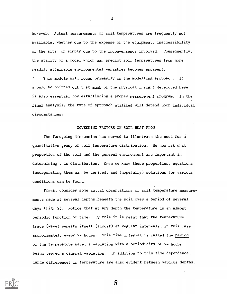however. Actual measurements of soil temperatures are frequently not available, whether due to the expense of the equipment, inaccessibility of the site, or simply due to the inconvenience involved. Consequently, the utility of a model which can predict soil temperatures from more readily attainable environmental variables becomes apparent.

This module will focus primarily on the modelling approach. It should be pointed out that much of the physical insight developed here is also essential for establishing a proper measurement program. In the final analysis, the type of approach utilized will depend upon individual circumstances.

## GOVERNING FACTORS IN SOIL HEAT FLOW

The foregoing discussion has served to illustrate the need for a quantitative grasp of soil temperature distribution. We now ask what properties of the soil and the general environment are important in determining this distribution. Once we know these properties, equations incorporating them can be derived, and (hopefully) solutions for various conditions can be found.

First, Lonsider some actual observations of soil temperature measurements made at several depths beneath the soil over a period of several days (Fig. 2). Notice that at any depth the temperature is an almost periodic function of time. By this it is meant that the temperature trace (wave) repeats itself (almost) at regular intervals, in this case approximately every 24 hours. This time interval is called the period of the temperature wave, a variation with a periodicity of 24 hours being termed a diurnal variation. In addition to this time dependence, large differences in temperature are also evident between various depths.



4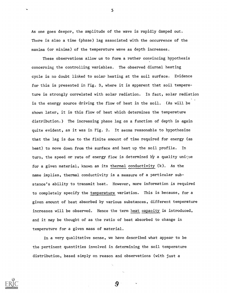As one goes deeper, the amplitude of the wave is rapidly damped out. There is also a time (phase) lag associated with the occurrence of the maxima (or minima) of the temperature wave as depth increases.

These observations allow us to form a rather convincing hypothesis concerning the controlling variables. The observed diurnal heating cycle is no doubt linked to solar heating at the soil surface. Evidence for this is presented in Fig. 3, where it is apparent that soil temperature is strongly correlated with solar radiation. In fact, solar radiation is the energy source driving the flow of heat in the soil. (As will be shown later, it is this flow of heat which determines the temperature distribution.) The increasing phase lag as a function of depth is again quite evident, as it was in Fig. 2. It seems reasonable to hypothesize that the lag is due to the finite amount of time required for energy (as heat) to move down from the surface and heat up the soil profile. In turn, the speed or rate of energy flow is determined by a quality unique for a given material, known as its thermal conductivity (k). As the name implies, thermal conductivity is a measure of a particular substance's ability to transmit heat. However, more information is required to completely specify the temperature variation. This is because, for a given amount of heat absorbed by various substances, different temperature increases will be observed. Hence the term heat capacity is introduced, and it may be thought of as the ratio of heat absorbed to change in temperature for a given mass of material.

In a very qualitative sense, we have described what appear to be the pertinent quantities involved in determining the soil temperature distribution, based simply on reason and observations (with just a

9.

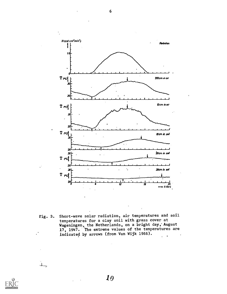

Pig. 3. Short-wave solar radiation, air temperatures and soil temperatures for a clay soil with grass cover at Wageningen, the Netherlands, on a bright day,' August 17, 1947. The extreme values of the temperatures are indicated by arrows (from Van Wijk 1966).



 $\Lambda_{\rm{max}}$ 

6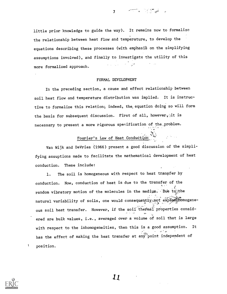little prior knowledge to guide the way). It remains now to formalize the relationship between heat flow and temperature, to develop the equations describing these processes (with emphasis on the simplifying assumptions involved), and finally to investigate the utility of this more formalized approach.

 $\overline{\mathbf{z}}$ 

### FORMAL DEVELOPMENT

In the preceding section, a cause and effect relationship between soil heat flow and temperature distribution was implied. It is instructive to formalize this relation; indeed, the, equation doing so will form the basis for subsequent discussion. First of all, however, it is necessary to present a more rigorous specification of the problem.

# Fourier's Law of Heat Conduction:

Van Wijk and DeVries (1966) present a good discussion of the simplifying assuptions made to facilitate the mathematical development of heat conduction. These include:

1. The soil is homogeneous with respect to heat transfer by conduction. Now, conduction of heat is due to the transfer of the random vibratory motion of the molecules in the medium. Due to the natural variability of soils, one would consequently not expect iomogeneous soil heat transfer. However, if the soil thermal properties considered are bulk values, i.e., averaged over a volume of soil that is large with respect to the inhomogeneities, then this is a good assumption. It has the effect of making the heat transfer at any point independent of position.



 $\begin{array}{c} \rule{0pt}{2ex} \rule{0pt}{2ex} \rule{0pt}{2ex} \rule{0pt}{2ex} \rule{0pt}{2ex} \rule{0pt}{2ex} \rule{0pt}{2ex} \rule{0pt}{2ex} \rule{0pt}{2ex} \rule{0pt}{2ex} \rule{0pt}{2ex} \rule{0pt}{2ex} \rule{0pt}{2ex} \rule{0pt}{2ex} \rule{0pt}{2ex} \rule{0pt}{2ex} \rule{0pt}{2ex} \rule{0pt}{2ex} \rule{0pt}{2ex} \rule{0pt}{2ex} \rule{0pt}{2ex} \rule{0pt}{2ex} \rule{0pt}{2ex} \rule{0pt}{$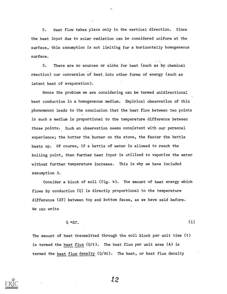2. Heat flow takes place only in the vertical direction. Since the heat input due to solar radiation can be considered uniform at the surface, this assumption is not limiting for a horizontally homogeneous surface.

3. There are no sources or sinks for heat (such as by,chemical reaction) nor conversion of heat, into other forms of energy (such as latent heat of evaporation).

Hence the problem we are considering can be termed unidirectional heat conduction in a homogeneous medium. Empirical observation of this phenomenon leads to the conclusion that the heat flow between two points in such a medium is proportional to the temperature difference between those points. Such an observation seems consistent with our personal experience; the hotter the burner on the stove, the faster the kettle heats up. Of course, if a kettle of water is allowed to reach the boiling point, then further heat input is utilized to vaporize the water without further temperature increase. This is why we have included assumption 3.

Consider a block of soil (Fig. 4). The amount of heat energy which flows by conduction (Q) is directly proportional to the temperature difference (AT) between top and bottom faces, as we have said before. We can write

$$
Q \propto \Delta T. \tag{1}
$$

The amount of heat transmitted through the soil block per unit time (t) is termed the heat flux (Q/t). The heat flux per unit area (A) is termed the heat flux density (Q/At). The heat, or heat flux density



-4.1 2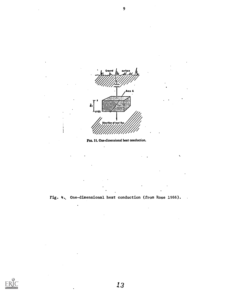



۰,



 $\ddot{\phantom{0}}$ 

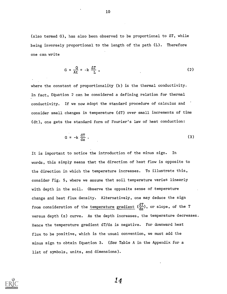(also termed G), has also been observed to be proportional to  $\Delta T$ , while being inversely proportional to the length of the path (L). Therefore one can write

$$
G = \frac{Q}{At} = -k \frac{\Delta T}{L} \tag{2}
$$

where the constant of proportionality (k) is the thermal conductivity. In fact, Equation 2 can be considered a defining relation for thermal conductivity. If we now adopt the standard procedure of calculus and consider small changes in temperature (dT) over small increments of time (dt), one gets the standard form of Fourier's law of heat conduction:

$$
G = -k \frac{dT}{dz} \tag{3}
$$

It is important to notice the introduction of the minus sign. In words, this simply means that the direction of heat flow is opposite to the direction in which the temperature increases. To illustrate this, consider Fig. 5, where we assume that soil temperature varies linearly with depth in the soil. Observe the opposite sense of temperature change and heat flux density. Alternatively, one may deduce the sign from consideration of the <u>temperature gradient</u>  $(\frac{\mathrm{d} T}{\mathrm{d} z})$ , or slope, of the T versus depth (z) curve. As the depth increases, the temperature decreases. Hence the temperature gradient dT/dz is negative. For downward heat flux to be positive, which is the usual convention, we must add the minus sign to obtain Equation 3. (See Table A in the Appendix for a list of symbols, units, and dimensions).

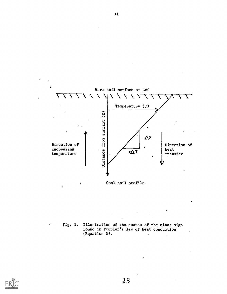

Fig. 5. Illustration of the source of the minus sign found in Fourier's law of heat conduction (Equation 3).  $\ddot{\phantom{a}}$ 



 $\mathcal{C}^{\mathcal{C}}$ 

1.5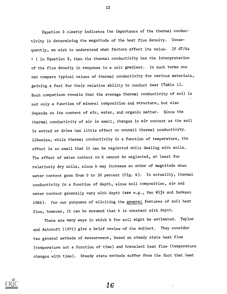Equation 3 clearly' indicates the importance of the thermal conductivity in determining the magnitude of the heat flux density. Consequently, we wish to understand what factors affect its value. If dT/dz = 1 in Equation 3, then the thermal conductivity has the interpretation of the flux density in response to a unit gradient. In such terms one can compare typical values of thermal conductivity for various materials, gaining a feel for their relative ability to conduct heat (Table 1). Such comparison reveals that the average thermal conductivity of soil is not only a function of mineral composition and structure, but also depends on its content of air, water, and organic matter. Since the thermal conductivity of air is small, changes in air content as the soil is wetted or dries has little effect on overall thermal conductivity. Likewise, while thermal conductivity is a function of temperature, the effect is so small that it can be neglected while dealing with soils. The effect of water content on k cannot be neglected, at least for relatively dry soils, since k may increase an order of magnitude when water content goes from 0 to 20 percent (Fig. 6). In actuality, thermal conductivity is a function of depth, since soil composition, air and water content generally vary with depth (see e.g., Van Wijk and Derksen 1966). For our purposes of eliciting the general features of soil heat flow, however, it can be assumed that k is constant with depth.

There are many ways in which k for soil might be estimated. Taylor and Ashcroft (1972) give a brief review of the subject. They consider two genera] methods of measurement, based on steady state heat flow (temperature not a function of time) and transient heat flow (temperature changes with time). Steady state methods suffer from the fact that heat



12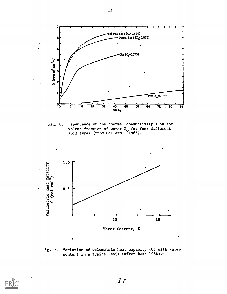

Fig. 6. Dependence of the thermal conductivity k on the volume fraction of water X<sub>ur</sub> for four different soil types (from Sellers 1965).



Fig. 7. Variation of volumetric heat capacity (C) with water content in a typical soil (after Rose 1966).'

ob



17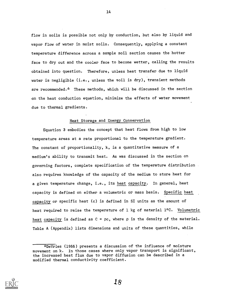flow in soils is possible not only by conduction, but also by liquid and vapor flow of water in moist soils. Consequently, applying a constant temperature difference across a sample soil section causes the hotter face to dry out and the cooler face to become wetter, calling the results obtained into question. Therefore, unless heat transfer due to liquid water is negligible (i.e., unless the soil is dry), transient methods are recommended.\* These methods, which will be discussed in the section on the heat conduction equation, minimize the effects of water movement due to thermal gradients.

# Heat Storage and Energy Conservation

Equation 3 embodies the concept that heat flows from high to low temperature areas at a rate proportional to the temperature gradient. The constant of proportionality, k, is a quantitative measure of a medium's ability to transmit heat. As was discussed in the section on governing factors, complete specification of the temperature distribution also requires knowledge of the capacity of the medium to store heat for a given temperature change, i.e., its heat capacity. In general, heat capacity is defined on either a volumetric or mass basis. Specific heat capacity or specific heat (c) is defined in SI units as the amount of heat required to raise the temperature of 1 kg of material 1°C. Volumetric heat capacity is defined as  $C = \rho c$ , where  $\rho$  is the density of the material. Table A (Appendix) lists dimensions and units of these quantities, while



14

<sup>\*</sup>DeVries (1966) presents a discussion of the influence of moisture movement on k. In those cases where only vapor transport is significant, the increased heat flux due to vapor diffusion can be described in a modified thermal conductivity coefficient.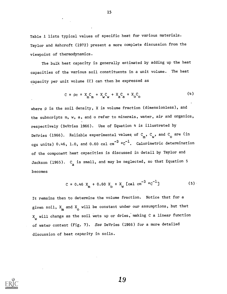Table 1 lists typical values of specific heat for various materials. Taylor and Ashcroft (1972) present a more complete discussion from the viewpoint of thermodynamics.

The bulk heat capacity is generally estimated by adding up the heat capacities of the various soil constituents in a unit volume. The heat capacity per unit volume (C) can then be expressed as

$$
C = \rho_C = X_C + X_C + X_C + X_C - 6
$$
 (4)

where  $\rho$  is the soil density, X is volume fraction (dimensionless), and the subscripts m, w, a, and o refer to minerals, water, air and organics, respectively (DeVries 1966). Use of Equation 4 is illustrated by DeVries (1966). Reliable experimental values of C<sub>m</sub>, C<sub>w</sub>, and C<sub>o</sub> are (in cgs units) 0.46, 1.0, and 0.60 cal cm $^{-3}$  °C $^{-1}$ . Calorimetric determination of the component heat capacities is discussed in detail by Taylor and Jackson (1965).  $\texttt{C}_{\texttt{a}}$  is small, and may be neglected, so that Equation 5 becomes

$$
C = 0.46 X_{m} + 0.60 X_{o} + X_{w} [cal cm^{-3} \text{°C}^{-1}]
$$
 (5)

It remains then to determine the volume fraction. Notice that for a given soil, X<sub>m</sub> and X<sub>o</sub> will be constant under our assumptions, but that X<sub>w</sub> will change as the soil wets up or dries, making C a linear function of water content (Fig. 7). See DeVries (1966) for a more detailed discussion of heat capacity in soils.



19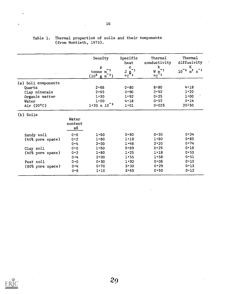|                     |                        | Density<br>$\rho$<br>tonne m<br>$(10^6 \text{ g m}^{-3})$ | Specific<br>heat<br>Ċ<br>$\circ \mathbb{C}^{g^{-1}}$ | Thermal<br>conductivity<br>$\mathbf k$<br>$W \overline{m}^{-1}$<br>$\circ c^{-1}$ | Thermal<br>diffusivity<br>к<br>$10^{-6}$<br>$m^2$ |
|---------------------|------------------------|-----------------------------------------------------------|------------------------------------------------------|-----------------------------------------------------------------------------------|---------------------------------------------------|
| (a) Soil components |                        |                                                           |                                                      |                                                                                   | $\bullet$                                         |
| Quartz              |                        | $2 - 66$                                                  | $0 * 80$                                             | $8 - 80$                                                                          | $4 - 18$                                          |
| Clay minerals       |                        | $2 - 65$                                                  | $0 - 90$                                             | $2 - 92$                                                                          | 1.22                                              |
| Organic matter      |                        | $1 - 30$                                                  | 1.92                                                 | $0 - 25$                                                                          | 1.00                                              |
| Water               |                        | $1 - 00$                                                  | $4 - 18$                                             | $0 - 57$                                                                          | $0 - 14$                                          |
| Air (20°C)          |                        | $1.20 \times 10^{-3}$                                     | 1.01                                                 | 0.025                                                                             | $20 \cdot 50$                                     |
| (b) Soils           |                        |                                                           |                                                      |                                                                                   |                                                   |
|                     | Water<br>content<br>xδ |                                                           |                                                      |                                                                                   |                                                   |
| Sandy soil          | 0.0                    | $1 - 60$                                                  | $0 - 80$                                             | $0 - 30$                                                                          | 0.24                                              |
| (40% pore space)    | 0.2                    | $1 - 80$                                                  | $1 - 18$                                             | $1 - 80$                                                                          | $0 - 85$                                          |
|                     | $0 - 4$                | $2 \cdot 00$                                              | 1.48                                                 | $2 \cdot 20$                                                                      | 0.74                                              |
| Clay soil           | 0.0                    | 1.60                                                      | $0 - 89$                                             | 0.25                                                                              | $0 - 18$                                          |
| (40% pore space)    | 0.2                    | $1 - 80$                                                  | 1.25                                                 | $1 - 18$                                                                          | $0 - 53$                                          |
|                     | $0 - 4$                | $2 - 00$                                                  | $1 - 55$                                             | $1 - 58$                                                                          | $0 - 51$                                          |
| Peat soil           | 0.0                    | $0 - 30$                                                  | 1.92                                                 | $0 - 06$                                                                          | $0 - 10$                                          |
| (80% pore space)    | $0 - 4$                | $0 \cdot 70$                                              | $3 - 30$                                             | $0 - 29$                                                                          | $0 - 13$                                          |
|                     | $0 - 8$                | $1 - 10$                                                  | $3 - 65$                                             | $0 - 50$                                                                          | $0 - 12$                                          |

 $\hat{\boldsymbol{\beta}}$ 

# Table 1. Thermal propertie8 of soils and their components (from Montieth, 1973).

 $\ddot{\phantom{a}}$ 

 $\sim$ 

 $\sim$ 

 $\sim$ 

 $\mathcal{L}$ 

 $\frac{1}{2}$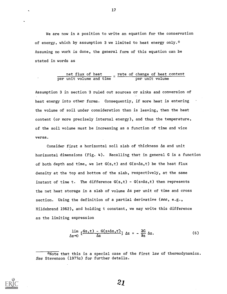We are now in a position to write an equation for the conservation of energy, which by assumption 3 we limited to heat energy only.\* Assuming no work is done, the general form of this equation can be stated in words as

#### net flux of heat  $\qquad \_$  rate of change of heat content per unit volume and time states that per unit volume

Assumption 3 in section 3 ruled out sources or sinks and conversion of heat energy into other forms. Consequently, if more heat is entering the volume of soil under consideration than is leaving, then the heat content (or more precisely internal energy), and thus the temperature, of the soil volume must be increasing as a function of time and vice versa.

Consider first a horizontal soil slab of thickness Az and unit horizontal dimensions (Fig. 4). Recalling that in general G is a function of both depth and time, we let  $G(z,t)$  and  $G(z+\Delta z,t)$  be the heat flux density at the top and bottom of the slab, respectively, at the same instant of time t. The difference  $G(z,t) - G(z+\Delta z,t)$  then represents the net heat storage in a slab of volume Az per unit of time and cross section. Using the definition of a partial derivative (see, e.g., Hildebrand 1962), and holding t constant, we may write this difference as the limiting expression

$$
\lim_{\Delta z \to 0} \left[ \frac{Gz, t - G(z + \Delta z, t)}{\Delta z} \right] \Delta z = - \frac{\partial G}{\partial z} \Delta z.
$$
 (6)



17

<sup>\*</sup>Note that this is a special case of the first law of thermodynamics. See Stevenson (1977a) for further details.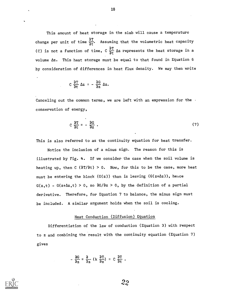This amount of heat storage in the slab will cause a temperature change per unit of time  $\frac{\partial T}{\partial t}$ . Assuming that the volumetric heat capacity (C) is not a function of time, C  $\frac{\partial T}{\partial t}$   $\Delta z$  represents the heat storage in a volume Az. This heat storage must be equal to that found in Equation 6 by consideration of differences in heat flux density. We may then write

18

$$
C \frac{\partial T}{\partial t} \Delta z = - \frac{\partial G}{\partial z} \Delta z.
$$

Canceling out the common terms, we are left with an expression for the  $\cdot$ conservation of energy,

$$
C\frac{\partial T}{\partial t} = -\frac{\partial G}{\partial z} \tag{7}
$$

This is also referred to as the continuity equation for heat transfer.

Notice the inclusion of a minus sign. The reason for this is illustrated by Fig. 4. If we consider the case when the soil volume is heating up, then C ( $\partial T/\partial t$ ) > 0. Now, for this to be the case, more heat must be entering the block  $(G(z))$  than is leaving  $(G(z+\Delta z))$ , hence  $G(z,t)$  -  $G(z+\Delta z,t) > 0$ , so  $\partial G/\partial z > 0$ , by the definition of a partial derivative. Therefore, for Equation 7 to balance, the minus sign must be included. A similar argument holds when the soil is cooling.

#### Heat Conduction (Diffusion) Equation

Differentiation of the law of conduction (Equation 3) with respect to z and combining the result with the continuity equation (Equation 7) gives

$$
\frac{\partial G}{\partial z} = \frac{\partial}{\partial z} (k \frac{\partial T}{\partial z}) = C \frac{\partial T}{\partial t} .
$$

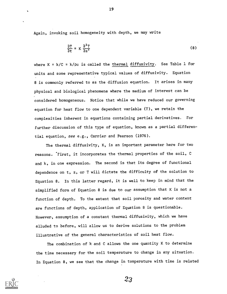Again, invoking soil homogeneity with depth, we may write

$$
\frac{\partial T}{\partial t} = K \frac{\partial^2 T}{\partial z^2}
$$
 (8)

where K =  $k/C$  =  $k/pc$  is called the thermal diffusivity. See Table 1 for units and some representative typical values of diffusivity. Equation 8 is commonly referred to as the diffusion equation. It arises in many physical and biological phenomena where the medium of interest can be considered homogeneous. Notice that while we have reduced our governing equation for heat flow to one dependent variable (T), we retain the complexities inherent in equations containing partial derivatives. For further discussion of this type of equation, known as a partial differential equation, see e.g., Carrier and Pearson (1976).

The thermal diffusivity, K, is an important parameter here for two reasons. First, it incorporates the thermal properties of the soil, C and k, in one expression. The second is that its degree of functional dependence on t, z, or T will dictate the difficulty of the solution to Equation 8. In this latter regard, it is well to keep in mind that the simplified form of Equation 8 is due to our assumption that K is not a function of depth. To the extent that soil porosity and water content are functions of depth, application of Equation 8 is questionable. However, assumption of a constant thermal diffusivity, which we have alluded to before, will allow us to derive solutions to the problem illustrative of the general characteristics of soil heat flow.

The combination of k and C allows the one quantity K to determine the time necessary for the soil temperature to change in any situation. In Equation 8, we see that the change in temperature with time is related



19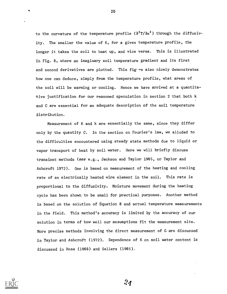to the curvature of the temperature profile  $(3^2T/3x^2)$  through the diffusivity. The smaller the value of K, for a given temperature profile, the longer it takes the soil to heat up, and vice versa. This is illustrated in Fig. 8, where an imaginary soil temperature gradient and its first and second derivatives are plotted. This figtre also nicely demonstrates how one can deduce, simply from the temperature profile, what areas of the soil will be warming or cooling. Hence we have arrived at a quantitative justification for our reasoned speculation in section 2 that both k and C are essential for an adequate description of the soil temperature distribution.

Measurement of K and k are essentially the same, since they differ only by the quantity C. In the section on Fourier's law, we alluded to the difficulties encountered using steady state methods due to liquid or vapor transport of heat by soil water. Here we will briefly discuss transient methods (see e.g., Jackson and Taylor 1965, or Taylor and Ashcroft 1972). One is based on measurement of the heating and cooling rate of an electrically heated wire element in the soil. This rate is proportional to the diffusivity. Moisture movement during the heating cycle has been shown to be small for practical purposes. Another method is based on the solution of Equation 8 and actual temperature measurements in the field. This method's accuracy is limited by the accuracy of our solution in terms of how well our assumptions fit the measurement site. More precise methods involving the direct measurement of G are discussed in Taylor and Ashcroft (1972). Dependence of K on soil water content is discussed in Rose (1966) and Sellers (1965).



24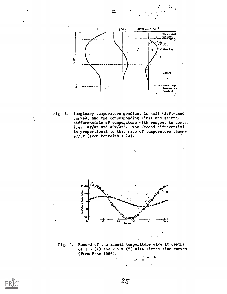

21

Fig. 8. Imaginary temperature gradient in soil (left-hand curve), and the corresponding first and second. differentials of temperature with respect to depth; i.e.,  $\frac{\partial T}{\partial z}$  and  $\frac{\partial^2 T}{\partial z^2}$ . The second differential is proportional to that rate of temperature change 8T /8t (from Monteith 1973).



Fig. 9. Record of the annual temperature wave at depths of  $1 \text{ m}$  (X) and  $2.5 \text{ m}$  (°) with fitted sine curves (from Rose 1966).



 $\overline{\phantom{0}}$ 

 $\tilde{\mathcal{M}}$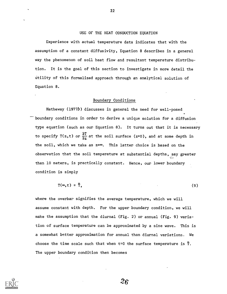# USE OF THE HEAT CONDUCTION EQUATION

Experience with actual temperature data indicates that with the assumption of a constant diffusivity, Equation 8 describes in a general way the phenomenon of soil heat flow and resultant temperature distribution. It is the goal of this section to investigate in more detail the Utility of this formalized approach through an analytical solution of Equation 8.

#### Boundary Conditions

Hatheway (1977b) discusses in general the need for well-posed boundary conditions in order to derive a unique solution for a diffusion type equation (such as our Equation 8). It turns out that it is necessary to specify T(z,t) or  $\frac{\partial T}{\partial x}$  at the soil surface (z=0), and at some depth in the soil, which we take as  $z=\infty$ . This latter choice is based on the observation that the soil temperature at substantial depths, say greater than 10 meters, is practically constant. Hence, our lower boundary condition is simply

$$
T(\infty, t) = \bar{T}, \qquad (9)
$$

where the overban signifies the average temperature, which we will assume constant with depth. For the upper boundary condition, we will make the assumption that the diurnal (Fig. 2) or annual (Fig. 9) variation of surface temperature can be approximated by a sine wave. This is a somewhat better approximation for annual than diurnal variations. We choose the time scale such that when  $t=0$  the surface temperature is  $\bar{T}$ . The upper boundary condition then becomes

26

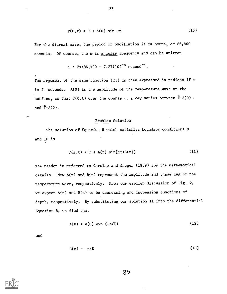$$
T(0,t) = \overline{T} + A(0) \sin \omega t \qquad (10)
$$

For the diurnal case, the period of oscillation is 24 hours, or 86,400 seconds. Of course, the w is angular frequency and can be written

$$
\omega = 2\pi/86,400 = 7.27(10)^{-5} \text{ second}^{-1}.
$$

The argument of the sine function (wt) is then expressed in radians if t is in seconds. A(0) is the amplitude of the temperature wave at the surface, so that  $T(0,t)$  over the course of a day varies between  $\bar{T}-A(0)$ . and  $\overline{T}+A(0)$ .

Problem Solution

The solution of Equation 8 which satisfies boundary conditions 9 and 10 is

$$
T(z,t) = \overline{T} + A(z) \sin[\omega t + B(z)] \qquad (11)
$$

The reader is referred to Carslaw and Jaeger (1959) for the mathematical details. Now A(z) and B(z) represent the amplitude and phase lag of the temperature wave, respectively. From our earlier discussion of Fig. 2, we expect A(z) and B(z) to be decreasing and increasing functions of depth, respectively. By substituting our solution 11 into the differential Equation 8, we find that

$$
A(z) = A(0) \exp (-z/D) \tag{12}
$$

and

$$
B(z) = -z/D \tag{13}
$$



 $27$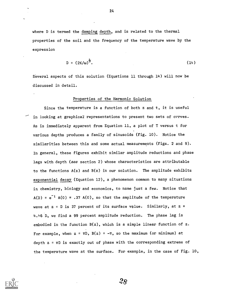where D is termed the damping depth, and is related to the thermal properties of the soil and the frequency of the temperature wave by the expression

$$
D = (2K/\omega)^{\frac{1}{2}}.
$$
 (14)

Several aspects of this solution (Equations 11 through 14) will now be discussed in detail.

#### Properties of the Harmonic Solution

Since the temperature is a function of both z and t, it is useful in looking at graphical representations to present two sets of curves. As is immediately apparent from Equation 11, a plot of T versus t for various depths produces a family of sinusoids (Fig. 10). Notice the similarities between this and some actual measurements (Figs. 2 and 9). In general, these figures exhibit similar amplitude reductions and phase lags with depth (see section 2) whose characteristics are attributable to the functions A(z) and B(z) in our solution. The amplitude exhibits exponential decay (Equation 12), a phenomenon common to many situations in chemistry, biology and economics, to name just a few. Notice that  $A(D) = e^{-1} A(0) = .37 A(0)$ , so that the amplitude of the temperature wave at z = D is 37 percent of its surface value. Similarly, at z = 4.46 D, we find a 99 percent amplitude reduction. The phase lag is embodied in the function B(z), which is a simple linear function of z. For example, when  $z = \pi D$ ,  $B(z) = -\pi$ , so the maximum (or minimum) at depth  $z = \pi D$  is exactly out of phase with the corresponding extreme of the temperature wave at the surface. For example, in the case of Fig. 10,



24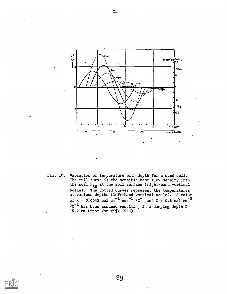

Fig. 10. Variation of temperature with depth for a sand soil. The full curve is the sensible heat flux density into the soil H<sub>SO</sub> at the soil surface (right-hand vertical scale). The dotted curves represent the temperatures at'various depths (left-hand vertical scale). A value of  $k = 0.0042$  cal cm<sup>-1</sup> sec<sup>-1</sup> °C and  $C = 0.5$  cal cm<sup>-9</sup>  $\circ c^{-1}$  has been assumed resulting in a damping depth D = 15.2 cm (from Van Wijk 1966).



25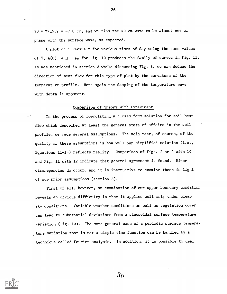$\pi$ D =  $\pi$  · 15.2 = 47.8 cm, and we find the 40 cm wave to be almost out of phase with the surface wave, as expected.

A plot of T versus z for various times of day using the same values of  $\overline{T}$ , A(0), and D as for Fig. 10 produces the family of curves in Fig. 11. As was mentioned in section 3 while discussing Fig. 8, we can deduce the direction of heat flow for this type of plot by the curvature of the temperature profile. Here again the damping of the temperature wave with depth is apparent.

#### Comparison of Theory with Experiment

In the process of formulating a closed form solution for soil heat flow which described at least the general state of affairs in the soil profile, we made several assumptions. The acid test, of course, of the quality of these assumptions is how well our simplified solution (i.e., Equations 11-14) reflects reality. Comparison of Figs. 2 or 9 with 10 and Fig. 11 with 12 indicate that general agreement is found. Minor discrepancies do occur, and it is instructive to examine these in light of our prior assumptions (section 3).

First of all, however, an examination of our upper boundary condition reveals an obvious difficulty in that it applies well only under clear sky conditions. Variable weather conditions as well as vegetation cover can lead to substantial deviations from a sinusoidal surface temperature variation (Fig. 13). The more general case of a periodic surface temperature variation that is not a simple time function can be handled by a technique called Fourier analysis. In addition, it is possible to deal



26

 $3o$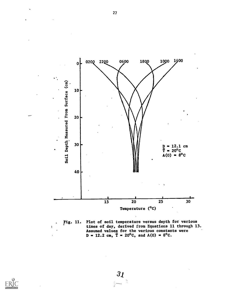

Pig. 11. Plot of soil temperature versus depth for various times of day, derived from Equations 11 through 13. Assumed values for the various constants were  $D = 12.2$  cm,  $T = 20^{\circ}C$ , and  $A(0) = 8^{\circ}C$ .



31

 $\mathbf{r}$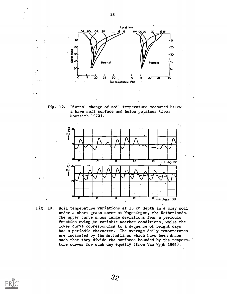

28

Fig. 12. Diurnal change of soil temperature measured below a bare soil surface and below potatoes (from Monteith 1973).



Fig. 13. Soil temperature variations at 10 cm depth in a clay soil under a short grass cover at Wageningen, the Netherlands. The upper curve shows large deviations from a periodic function owing to variable weather conditions, while the lower curve corresponding to a dwquence of bright days has a periodic character. The average daily temperatures are indicated by the dotted lines which have been. drawn such that they divide the surfaces bounded by the tempera-' ture curves for each day equally (from Van Wyjk 1966).

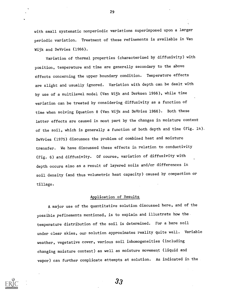with small systematic nonperiodic variations superimposed upon a larger periodic variation. Treatment of these refinements is available in Van Wijk and DeVries (1966).

Variation of thermal properties (characterized by diffusivity) with position, temperature and time are generally secondary to the above effects concerning the upper boundary condition. Temperature effects are slight and usually ignored. Variation with depth can be dealt with by use of a multilevel model (Van Wijk and Derksen 1966), while time variation can be treated by considering diffusivity as a function of time when solving Equation 8 (Van Wijk and DeVries 1966). Both these latter effects are caused in most part by the changes in moisture content of the soil, which is generally a function of both depth and time (Fig. 14). DeVries (1975) discusses the problem of combined heat and moisture transfer. We have discussed these effects in relation to conductivity (Fig. 6) and diffusivity. Of course, variation of diffusivity with depth occurs also as a result of layered soils and/or differences in soil density (and thus volumetric heat capacity) caused by compaction or tillage.

### Application of Results

A major use of the quantitative solution discussed here, and of the possible refinements mentioned, is to explain and illustrate how the temperature distribution of, the soil is determined. For a bare soil under clear skies, our solution approximates reality quite well. Variable weather, vegetative cover, various soil inhomogeneities (including changing moisture content) as well as moisture movement (liquid and vapor) can further complicate attempts at solution. As indicated in the



29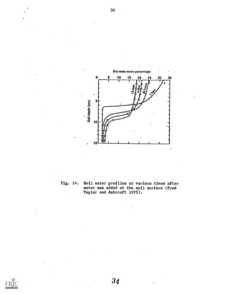

Fig. 14. Soil water profiles at various times after water was added at the soil surface (from Taylor and Ashcroft 1972).

34

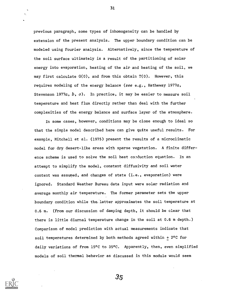previous paragraph, some types of inhomogeneity can be handled by extension of the present analysis. The upper boundary condition can be modeled using Fourier analysis. Alternatively, since the temperature of the soil surface ultimately is a result of the partitioning of solar energy into evaporation, heating of the air and heating of the soil, we may first calculate G(0), and from this obtain T(0). However, this requires modeling of the energy balance (see e.g., Hatheway 1977a, Stevenson 1977a,  $b$ ,  $c$ ). In practice, it may be easier to measure soil temperature and heat flux directly rather than deal with the further complexities of the energy balance and surface layer of the atmosphere.

In some cases, however, conditions may be close enough to ideal so that the simple model described here can give quite useful results. For example, Mitchell et al. (1975) present the results of a microclimatic model for dry desert-like areas with sparse vegetation. A finite difference scheme is used to solve the soil heat conduction equation. In an attempt to simplify the model, constant diffusivity and soil water content was assumed, and changes of state (i.e., evaporation) were ignored. Standard Weather Bureau data input were solar radiation and average monthly air temperature. The former parameter sets the upper boundary condition while the\_latter approximates the soil temperature at 0.6 m. (From our discussion of damping depth, it should be clear that there is little diurnal temperature change in the soil at 0.6 m depth.) Comparison of model prediction with actual measurements indicate that soil temperatures determined by both methods agreed within + 2°C for daily variations of from 15°C to 35°C. Apparently, then, even simplified models of soil thermal behavior as discussed in this module would seem



31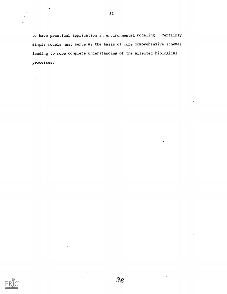to have practical application in environmental modeling. Certainly simple models must serve as the basis of more comprehensive schemes leading to more complete understanding of the affected biological processes.

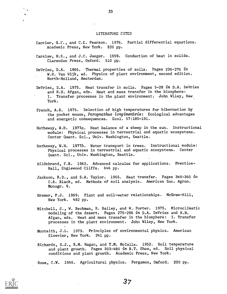#### LITERATURE CITED

- Carrier, G.F., and C.E. Pearson. 1976. Partial differential equations. Academic Press, New York. 320 pp.
- Carslaw, H.S., and J.C. Jaeger. 1959. Conduction of heat in solids. Clarendon Press, Oxford. 510 pp.
- DeVries, D.A. 1966. Thermal properties of soils. Pages 236-276  $in$ W.R. Van Wijk, ed. Physics of plant environment, second edition. North-Holland, Amsterdam.
- DeVries, D.A. 1975. Heat transfer in soils. Pages 5-28 in D.A. DeVries and N.H. Afgan, eds. Heat and mass transfer in the biosphere: I. Transfer processes in the plant environment. John Wiley, New York.
- French, A.R. 1976. Selection of high temperatures for hibernation by the pocket mouse, Perognathus longimembris: Ecological advantages and energetic consequences. Ecol. 57:185-191.
- Hatheway, W.H. 1977a. Heat balance of a sheep in the sun. Instructional module: Physical processes in terrestrial and aquatic ecosystems. Center Quant. Sci., Univ. Washington, Seattle.
- Hatheway, W.H. 1977b. Water transport in trees. Instructional module: Physical processes in terrestrial and aquatic ecosystems. Center Quant. Sci., Univ. Washington, Seattle.
- Hildebrand, F.B. 1962. Advanced calculus for applications. Prentice-Hall, Englewood Cliffs. 646 pp.
- Jackson, R.D., and S.A. Taylor. 1965. Heat transfer. Pages 349-360 in C.A. Black, ed. Methods of soil analysis. American Soc. Agron. Monogr. 9.
- Kramer, P.J. 1969. Plant and soil-water relationships. McGraw-Hill, New York. 482 pp.
- Mitchell, J., W. Beckman, R. Bailey, and W. Porter. 1975. Microclimatic modeling of the desert. Pages 275-286 in D.A. DeVries and N.H. Afgan, eds. Heat and mass transfer in the biosphere: I. Transfer processes in the plant environment. John Wiley, New York.
- Monteith, J.L. 1973. Principles of environmental physics. American Elsevier, New York. 241 pp.
- Richards, S.J., R.M. Hagan, and T.M. McCalla. 1952. Soil temperature and plant growth. Pages 303-480 in B.T. Shaw, ed. Soil physical conditions and plant growth. Academic Press, New York.

Rose, C.W. 1966. Agricultural physics. Pergamon, Oxford. 230 pp.



33

 $37\,$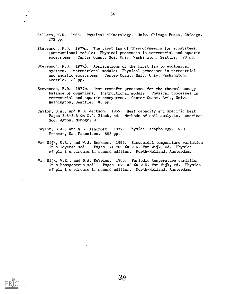Sellers, W.D. 1965. Physical climatology. Univ. Chicago Press, Chicago. 272 pp.

- Stevenson, R.D. 1977a. The first law of thermodynamics for ecosystems. Instructional module: Physical processes in terrestrial and aquatic ecosystems. Center Quant. Sci. Univ. Washington, Seattle. 28 pp.
- Stevenson, R.D. 1977b. Applications of the first law to ecological systems. Instructional module: Physical processes in terrestrial and aquatic ecosystems. Center Quant. Sci., Univ. Washington, Seattle. 32 pp.
- Stevenson, R.D. 1977c. Heat transfer processes for the thermal energy balance of organisms. Instructional module: Physical processes in terrestrial and aquatic ecosystems. Center Quant. Sci., Univ. Washington, Seattle. 40 pp.
- Taylor, S.A., and R.D. Jackson. 1965. Heat capacity and specific heat. Pages 345-348 in C.A. Black, ed. Methods of soil analysis. American Soc. Agron. Monogr. 9.
- Taylor, S.A., and G.L. Ashcroft. 1972. Physical edaphology. W.H. Freeman, San Francisco. 553 pp.
- Van Wijk, W.R., and W.J. Derksen. 1966. Sinusoidal temperature variation in a layered soil. Pages 171-209 in W.R. Van Wijk, ed. Physics of plant environment, second edition. North-Holland, Amsterdam.
- Van Wijk, W.R., and D.A. DeVries. 1966. Periodic temperature variation in a homogeneous soil. Pages 102-143 in W.R. Van Wijk, ed. Physics of plant environment, second edition. North-Holland, Amsterdam.

38

state of the state of the state of the state of the state of the state

.<br>ده اختصاصاته بالاحتراط الأميرين المرتب التي التي التي المتواصلة بالمرتبة التي المتواصل المناطق التي التي التي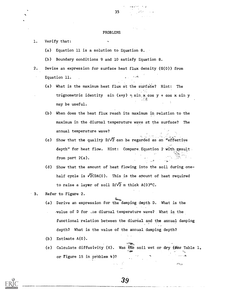#### PROBLEMS

- 1. Verify that:
	- (a) Equation 11 is a solution to Equation 8.
	- (b) Boundary conditions 9 and 10 satisfy Equation 8.
- 2. Devise an expression for surface heat flux density (G(0)) from فضراء Equation 11.
	- (a) What is the maximum heat flux at the surface? Hint: The trignometric identity sin  $(x+y) = \sin x \cos y + \cos x \sin y$  $\cdot$  11  $\cdot$  11  $\cdot$  11  $\cdot$  11  $\cdot$  11  $\cdot$  11  $\cdot$  11  $\cdot$  11  $\cdot$  11  $\cdot$  11  $\cdot$  11  $\cdot$  11  $\cdot$  11  $\cdot$  11  $\cdot$  11  $\cdot$  11  $\cdot$  11  $\cdot$  11  $\cdot$  11  $\cdot$  11  $\cdot$  11  $\cdot$  11  $\cdot$  11  $\cdot$  11  $\cdot$  11  $\cdot$  11  $\cdot$  11  $\cdot$  may be useful.
	- (b) When does the heat flux reach its maximum in relation to the maximum in the diurnal temperature wave at the surface? The annual temperature wave?
	- (c) Show that the quality D/ $\sqrt{2}$  can be regarded as an "effective  $\mathcal{L}^{\bullet}$  , where  $\mathcal{L}^{\bullet}$  , we have depth" for heat flow. Hint: Compare Equation 2 with result from part 2(a).  $\sim$   $\beta$
	- (d) Show that the amount of heat flowing into the soil during onehalf cycle is  $\sqrt{2}$ CDA(0). This is the amount of heat required to raise a layer of soil  $D/\sqrt{2}$  m thick A(0)°C.
- 3. Refer to Figure 2.
	- (a) Derive an expression for the damping depth D. What is the .value of D for ,.ne diurnal temperature wave? What is the functional relation between the diurnal and the annual damping depth? What is the value of the annual damping depth?
	- (b) Estimate A(0).
	- (c) Calculate diffusivity (K). Was the soil wet or dry (see Table 1, or Figure 15 in problem 4)?

39

r.

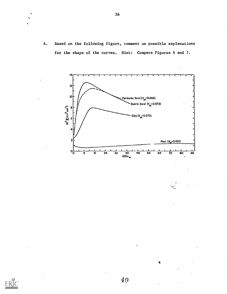4. Based on the following figure, comment on possible explanations for the shape of the curves. Hint: Compare Figures 6 and 7.



- 45 ₹.

 $\ddot{\cdot}$ 



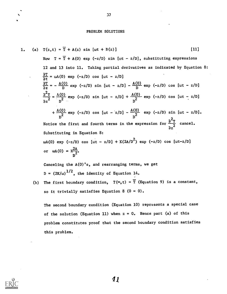#### PROBLEM SOLUTIONS

1. (a) 
$$
T(z,t) = \overline{T} + A(z) \sin \left[\omega t + B(z)\right]
$$
 [11]  
\nNow  $T = \overline{T} + A(0) \exp(-z/D) \sin \left[\omega t - z/D\right]$ , substituting expressions  
\n12 and 13 into 11. Taking partial derivatives as indicated by Equation 8:  
\n $\frac{\partial T}{\partial t} = \omega A(0) \exp(-z/D) \cos \left[\omega t - z/D\right]$   
\n $\frac{\partial T}{\partial z} = -\frac{A(0)}{D} \exp(-z/D) \sin \left[\omega t - z/D\right] - \frac{A(0)}{D} \exp(-z/D) \cos \left[\omega t - z/D\right]$   
\n $\frac{\partial^2 T}{\partial z^2} = \frac{A(0)}{D^2} \exp(-z/D) \sin \left[\omega t - z/D\right] + \frac{A(0)}{D^2} \exp(-z/D) \cos \left[\omega t - z/D\right]$   
\n $+ \frac{A(0)}{D^2} \exp(-z/D) \cos \left[\omega t - z/D\right] - \frac{A(0)}{D^2} \exp(-z/D) \sin \left[\omega t - z/D\right]$ .  
\nNotice the first and fourth terms in the expression for  $\frac{\partial^2 T}{\partial z^2}$  cancel.  
\nSubstituting in Equation 8:  
\n $\omega A(0) \exp(-z/D) \cos \left[\omega t - z/D\right] + K(2A/D^2) \exp(-z/D) \cos \left[\omega t - z/D\right]$   
\nor  $\omega A(0) = \frac{c^2 A}{D^2}$ .

Canceling the A(0)'s, and rearranging terms, we get D =  $(2K/\omega)^{1/2}$ , the identity of Equation 14.

(b) The first boundary condition,  $T(\infty, t) = \overline{T}$  (Equation 9) is a constant, so it trivially satisfies Equation 8  $(0 = 0)$ .

The second boundary condition (Equation 10) represents a special case of the solution (Equation 11) when  $z = 0$ . Hence part (a) of this problem constitutes proof that the second boundary condition satisfies this problem.

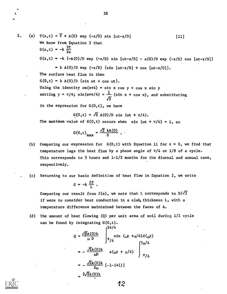38

2. (a)  $T(z,t) = T + A(0) \exp(-z/0) \sin [\omega t - z/D]$  [11] We know from Equation 3 that  $G(z, t) = -k \frac{\partial T}{\partial z}$  $G(z,t) = -k$   $(-A(0)/D \exp (-z/D) \sin [\omega t - z/D] - a(0)/D \exp (-z/D) \cos [\omega t - z/D]$  $= k A(0)/D exp (-z/D)$  {sin [wt-z/D] + cos [wt-z/D]}. The surface heat flux is then

 $G(0, t) = k A(0)/D$  {sin  $\omega t + \cos \omega t$ }. Using the identity  $sm(x+4) = sin x cos y + cos x sin y$ setting  $y = \pi/4$ ;  $\sin(x+\pi/4) = \frac{\pi}{4}$  (sin  $x + \cos x$ ), and substituting  $\sqrt{2}$ 

in the expression for  $G(0,t)$ , we have

 $G(0,t) = \sqrt{2} A(0)/D \sin (\omega t + \pi/4)$ .

The maximum value of  $G(0,t)$  occurs when sin ( $\omega t + \pi/4$ ) = 1, so

$$
G(0,t)_{\text{max}} = \frac{\sqrt{2} kA(0)}{D} .
$$

- (b) Comparing our expression for  $G(0,t)$  with Equation 11 for  $z = 0$ , we find that temperature lags the heat flux by a phase angle of  $\pi/4$  or  $1/8$  of a cycle. This corresponds to 3 hours and  $1-1/2$  months for the diurnal and annual case, respectively.
- (c) Returning to our basic definition of heat flow in Equation 2, we write

$$
G = -k \frac{\Delta T}{L} .
$$

Comparing our result from  $2(a)$ , we note that L corresponds to  $D/\sqrt{2}$ if were to consider heat conduction in a slab, thickness L, with a temperature difference maintained between the faces of A.

(d) The amount of heat flowing (Q) per unit area of soil during 1/2 cycle can be found by integrating G(0,t).

$$
Q = \frac{\sqrt{2}A(0)k}{\omega D} \int_{\pi/4}^{3\pi/4} \sin (\omega t + \pi/4) d(\omega t)
$$
  
=  $-\frac{\sqrt{2}A(0)k}{\omega D} \sin (\omega t + \pi/4) \int_{\pi/4}^{3\pi/4} \pi/4$   
=  $-\frac{\sqrt{2}A(0)k}{D\omega} [-1-(+1)]$   
=  $2\sqrt{2}A(0)k$ 

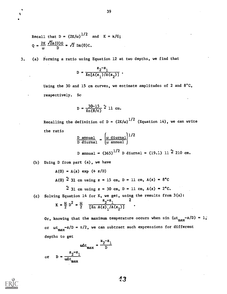Recall that D = 
$$
(2K/\omega)^{1/2}
$$
 and K = k/G;  
Q =  $\frac{2K}{\omega} \frac{\sqrt{2}A(0)G}{D} = \sqrt{2} DA(0)C$ .

3. (a) Forming a ratio using Equation 12 at two depths, we find that

$$
D = \frac{z_2^{-z_1}}{\ln[A(z_1)/A(z_2)]}
$$
.

Using the 30 and 15 cm curves, we estimate amplitudes of 2 and 8°C, respectively. So

$$
D = \frac{30-15}{\ln(8/\epsilon)} \approx 11 \text{ cm}.
$$

Recalling the definition of D =  $(2K/\omega)^{1/2}$  (Equation 14), we can write the ratio  $\mathbf{r}$ 

$$
\frac{D \text{ annual}}{D \text{ durmal}} = \left(\frac{\omega \text{ diurnal}}{\omega \text{ annual}}\right)^{1/2}
$$
  
D annual = (365)<sup>1/2</sup> D diurnal = (19.1) 11<sup>2</sup> 210 cm.

(b) Using D from part (a), we have

 $A(0) = A(z)$  exp  $(+ z/D)$ 

A(0)  $\frac{\pi}{2}$  31 cm using z = 15 cm, D = 11 cm, A(z) = 8°C

$$
\sim
$$
 31 cm using  $z = 30$  cm,  $D = 11$  cm,  $A(z) = 2^{\circ}C$ .

(c) Solving Equation 14 for K, we get, using the results from 3(a):

$$
K = \frac{\omega}{2} D^2 = \frac{\omega}{2} \frac{z_2 - z_1}{[\ln A(z)_1/A(z_2)]} .
$$

Or, knowing that the maximum temperature occurs when sin ( $\omega t_{max}-z/D$ ) = 1; or ωt -z/D = π/2, we can subtract such expressions for different<br>max depths to get

$$
\omega \Delta t_{\text{max}} = \frac{-2 - 1}{D}
$$
  
or 
$$
D = \frac{z_2 - z_1}{\omega \Delta t_{\text{max}}}
$$

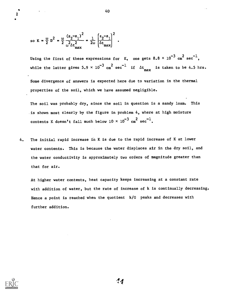so 
$$
K = \frac{\omega}{2} D^2 = \frac{\omega}{2} \frac{(z_2 - z_1)^2}{\omega^2 \Delta t_{\text{max}}^2} = \frac{1}{2\omega} \left( \frac{z_2 - z_1}{\Delta t_{\text{max}}} \right)^2
$$
.

Using the first of these expressions for  $\,$  K, one gets  $8.8 \times {10}^{-3}$   $\rm cm}^2$   $\rm sec}^{-1}$ , while the latter gives  $5.9 \times 10^{-3}$   $\text{cm}^2$  sec<sup>-1</sup> if  $\Delta t$  is taken to be 4.5 hrs.

Some divergence of answers is expected here due to variation in the thermal properties of the soil, which we have assumed negligible.

The soil was probably dry, since the soil in question is a sandy loam. This is shown most clearly by the figure in problem 4, where at high moisture contents K doesn't fall much below 10  $\times$  10 $^{-3}$  cm $^{2}$  sec $^{-1}$ .

4. The initial rapid increase in K is due to the rapid increase of K at lower water contents. This is because the water displaces air in the dry soil, and the water conductivity is approximately two orders of magnitude greater than that for air.

At higher water contents, heat capacity keeps increasing at a constant rate with addition of water, but the rate of increase of k is continually decreasing. Hence a point is reached when the quotient k/G peaks and decreases with further addition.



40

 $4<sub>4</sub>$